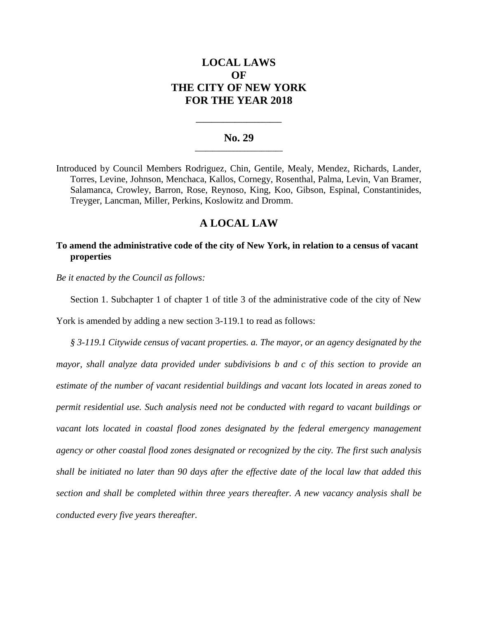# **LOCAL LAWS OF THE CITY OF NEW YORK FOR THE YEAR 2018**

### **No. 29 \_\_\_\_\_\_\_\_\_\_\_\_\_\_\_\_\_\_\_\_\_\_\_\_\_**

**\_\_\_\_\_\_\_\_\_\_\_\_\_\_\_\_\_\_\_\_\_\_**

Introduced by Council Members Rodriguez, Chin, Gentile, Mealy, Mendez, Richards, Lander, Torres, Levine, Johnson, Menchaca, Kallos, Cornegy, Rosenthal, Palma, Levin, Van Bramer, Salamanca, Crowley, Barron, Rose, Reynoso, King, Koo, Gibson, Espinal, Constantinides, Treyger, Lancman, Miller, Perkins, Koslowitz and Dromm.

# **A LOCAL LAW**

## **To amend the administrative code of the city of New York, in relation to a census of vacant properties**

*Be it enacted by the Council as follows:*

Section 1. Subchapter 1 of chapter 1 of title 3 of the administrative code of the city of New

York is amended by adding a new section 3-119.1 to read as follows:

*§ 3-119.1 Citywide census of vacant properties. a. The mayor, or an agency designated by the mayor, shall analyze data provided under subdivisions b and c of this section to provide an estimate of the number of vacant residential buildings and vacant lots located in areas zoned to permit residential use. Such analysis need not be conducted with regard to vacant buildings or*  vacant lots located in coastal flood zones designated by the federal emergency management *agency or other coastal flood zones designated or recognized by the city. The first such analysis shall be initiated no later than 90 days after the effective date of the local law that added this section and shall be completed within three years thereafter. A new vacancy analysis shall be conducted every five years thereafter.*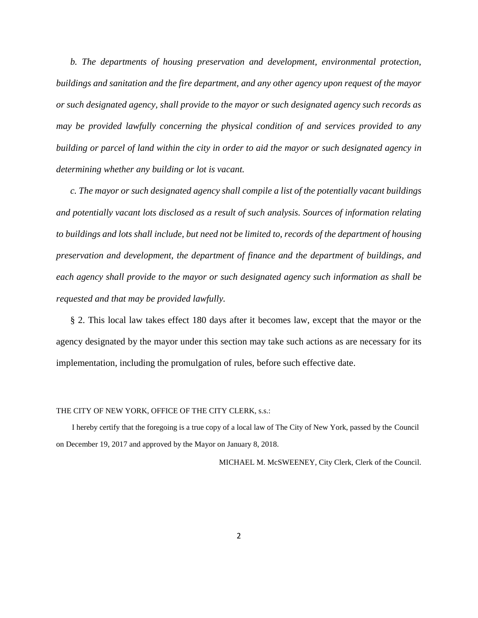*b. The departments of housing preservation and development, environmental protection, buildings and sanitation and the fire department, and any other agency upon request of the mayor or such designated agency, shall provide to the mayor or such designated agency such records as may be provided lawfully concerning the physical condition of and services provided to any building or parcel of land within the city in order to aid the mayor or such designated agency in determining whether any building or lot is vacant.*

*c. The mayor or such designated agency shall compile a list of the potentially vacant buildings and potentially vacant lots disclosed as a result of such analysis. Sources of information relating to buildings and lots shall include, but need not be limited to, records of the department of housing preservation and development, the department of finance and the department of buildings, and each agency shall provide to the mayor or such designated agency such information as shall be requested and that may be provided lawfully.* 

§ 2. This local law takes effect 180 days after it becomes law, except that the mayor or the agency designated by the mayor under this section may take such actions as are necessary for its implementation, including the promulgation of rules, before such effective date.

#### THE CITY OF NEW YORK, OFFICE OF THE CITY CLERK, s.s.:

 I hereby certify that the foregoing is a true copy of a local law of The City of New York, passed by the Council on December 19, 2017 and approved by the Mayor on January 8, 2018.

MICHAEL M. McSWEENEY, City Clerk, Clerk of the Council.